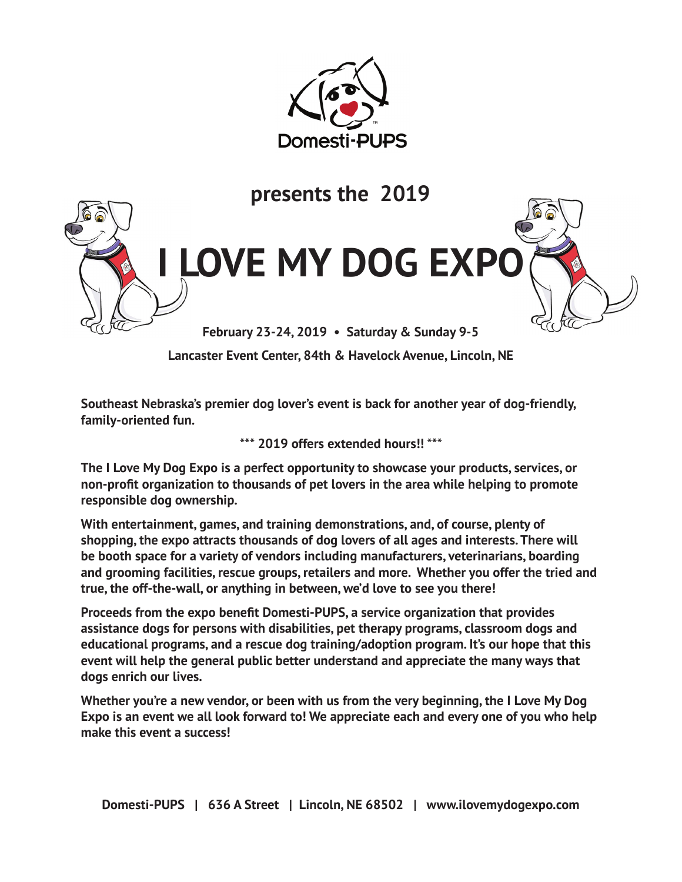



**Lancaster Event Center, 84th & Havelock Avenue, Lincoln, NE**

**Southeast Nebraska's premier dog lover's event is back for another year of dog-friendly, family-oriented fun.** 

**\*\*\* 2019 offers extended hours!! \*\*\***

**The I Love My Dog Expo is a perfect opportunity to showcase your products, services, or non-profit organization to thousands of pet lovers in the area while helping to promote responsible dog ownership.** 

**With entertainment, games, and training demonstrations, and, of course, plenty of shopping, the expo attracts thousands of dog lovers of all ages and interests. There will be booth space for a variety of vendors including manufacturers, veterinarians, boarding and grooming facilities, rescue groups, retailers and more. Whether you offer the tried and true, the off-the-wall, or anything in between, we'd love to see you there!** 

**Proceeds from the expo benefit Domesti-PUPS, a service organization that provides assistance dogs for persons with disabilities, pet therapy programs, classroom dogs and educational programs, and a rescue dog training/adoption program. It's our hope that this event will help the general public better understand and appreciate the many ways that dogs enrich our lives.** 

**Whether you're a new vendor, or been with us from the very beginning, the I Love My Dog Expo is an event we all look forward to! We appreciate each and every one of you who help make this event a success!**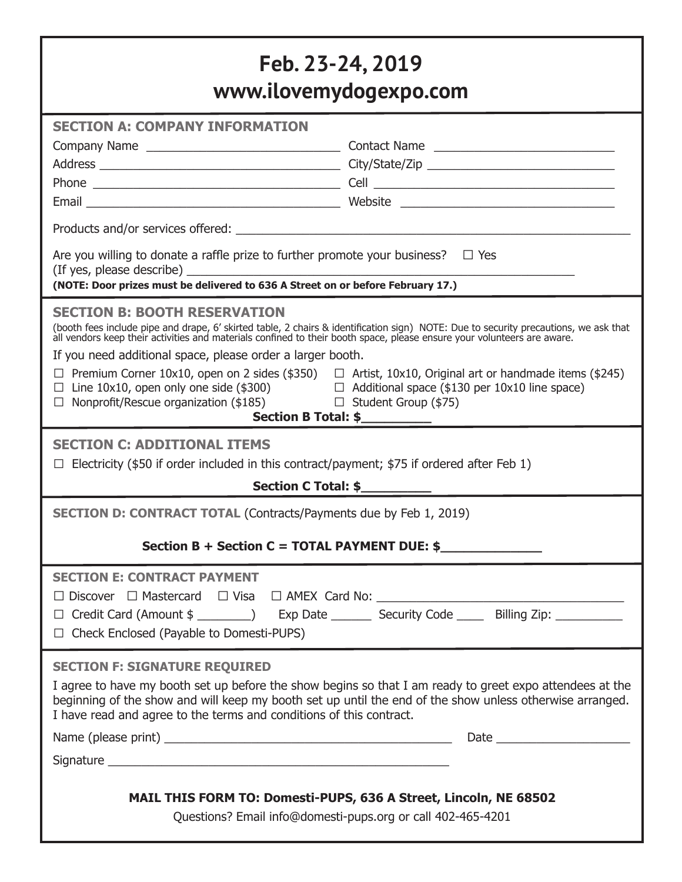# **Feb. 23-24, 2019 www.ilovemydogexpo.com**

| www.iloveniyuogexpo.com                                                                                                                                                                                                                                                                                                                                                                                                                                                                                                                                                                                                                                                            |  |
|------------------------------------------------------------------------------------------------------------------------------------------------------------------------------------------------------------------------------------------------------------------------------------------------------------------------------------------------------------------------------------------------------------------------------------------------------------------------------------------------------------------------------------------------------------------------------------------------------------------------------------------------------------------------------------|--|
| <b>SECTION A: COMPANY INFORMATION</b>                                                                                                                                                                                                                                                                                                                                                                                                                                                                                                                                                                                                                                              |  |
|                                                                                                                                                                                                                                                                                                                                                                                                                                                                                                                                                                                                                                                                                    |  |
|                                                                                                                                                                                                                                                                                                                                                                                                                                                                                                                                                                                                                                                                                    |  |
|                                                                                                                                                                                                                                                                                                                                                                                                                                                                                                                                                                                                                                                                                    |  |
|                                                                                                                                                                                                                                                                                                                                                                                                                                                                                                                                                                                                                                                                                    |  |
|                                                                                                                                                                                                                                                                                                                                                                                                                                                                                                                                                                                                                                                                                    |  |
| Are you willing to donate a raffle prize to further promote your business? $\Box$ Yes                                                                                                                                                                                                                                                                                                                                                                                                                                                                                                                                                                                              |  |
| <b>SECTION B: BOOTH RESERVATION</b><br>(booth fees include pipe and drape, 6' skirted table, 2 chairs & identification sign) NOTE: Due to security precautions, we ask that all vendors keep their activities and materials confined to their booth space, please ens<br>If you need additional space, please order a larger booth.<br>$\Box$ Premium Corner 10x10, open on 2 sides (\$350) $\Box$ Artist, 10x10, Original art or handmade items (\$245)<br>$\Box$ Line 10x10, open only one side (\$300)<br>$\Box$ Nonprofit/Rescue organization (\$185)<br>$\Box$ Additional space (\$130 per 10x10 line space)<br>$\Box$ Student Group (\$75)<br>Section B Total: \$___________ |  |
| <b>SECTION C: ADDITIONAL ITEMS</b>                                                                                                                                                                                                                                                                                                                                                                                                                                                                                                                                                                                                                                                 |  |
| Electricity (\$50 if order included in this contract/payment; \$75 if ordered after Feb 1)                                                                                                                                                                                                                                                                                                                                                                                                                                                                                                                                                                                         |  |
|                                                                                                                                                                                                                                                                                                                                                                                                                                                                                                                                                                                                                                                                                    |  |
| <b>SECTION D: CONTRACT TOTAL (Contracts/Payments due by Feb 1, 2019)</b>                                                                                                                                                                                                                                                                                                                                                                                                                                                                                                                                                                                                           |  |
| Section B + Section C = TOTAL PAYMENT DUE: $$$                                                                                                                                                                                                                                                                                                                                                                                                                                                                                                                                                                                                                                     |  |
| <b>SECTION E: CONTRACT PAYMENT</b><br>□ Discover □ Mastercard □ Visa □ AMEX Card No: _________________________________<br>□ Credit Card (Amount \$ ________) Exp Date _________ Security Code ______ Billing Zip: ____________<br>$\Box$ Check Enclosed (Payable to Domesti-PUPS)                                                                                                                                                                                                                                                                                                                                                                                                  |  |
| <b>SECTION F: SIGNATURE REQUIRED</b><br>I agree to have my booth set up before the show begins so that I am ready to greet expo attendees at the<br>beginning of the show and will keep my booth set up until the end of the show unless otherwise arranged.<br>I have read and agree to the terms and conditions of this contract.                                                                                                                                                                                                                                                                                                                                                |  |
|                                                                                                                                                                                                                                                                                                                                                                                                                                                                                                                                                                                                                                                                                    |  |
|                                                                                                                                                                                                                                                                                                                                                                                                                                                                                                                                                                                                                                                                                    |  |
| MAIL THIS FORM TO: Domesti-PUPS, 636 A Street, Lincoln, NE 68502<br>Questions? Email info@domesti-pups.org or call 402-465-4201                                                                                                                                                                                                                                                                                                                                                                                                                                                                                                                                                    |  |